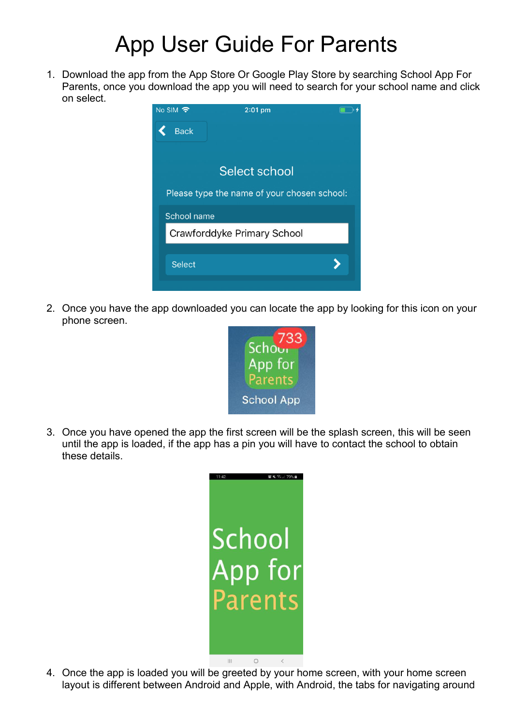## App User Guide For Parents

1. Download the app from the App Store Or Google Play Store by searching School App For Parents, once you download the app you will need to search for your school name and click on select.



2. Once you have the app downloaded you can locate the app by looking for this icon on your phone screen.



3. Once you have opened the app the first screen will be the splash screen, this will be seen until the app is loaded, if the app has a pin you will have to contact the school to obtain these details.



4. Once the app is loaded you will be greeted by your home screen, with your home screen layout is different between Android and Apple, with Android, the tabs for navigating around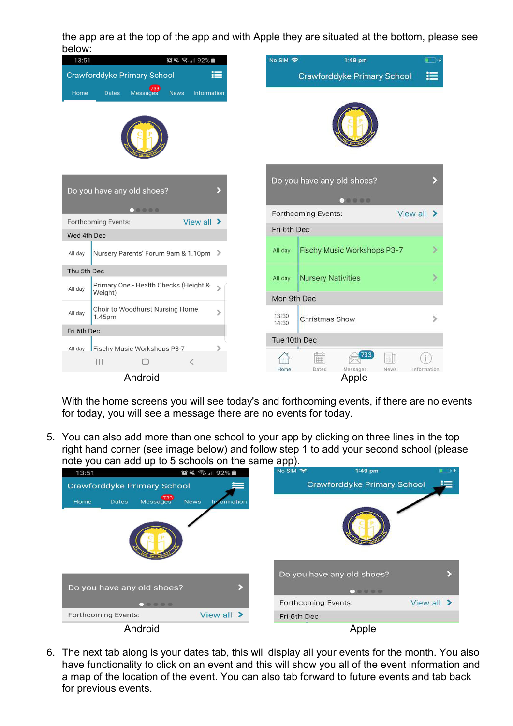the app are at the top of the app and with Apple they are situated at the bottom, please see



With the home screens you will see today's and forthcoming events, if there are no events for today, you will see a message there are no events for today.

5. You can also add more than one school to your app by clicking on three lines in the top right hand corner (see image below) and follow step 1 to add your second school (please note you can add up to 5 schools on the same app).

| 13:51                                   | $\mathbf{X} \leq 1$ 92% | <b>No SIM 今</b>     | $1:49$ pm                          |                        |             |
|-----------------------------------------|-------------------------|---------------------|------------------------------------|------------------------|-------------|
| <b>Crawforddyke Primary School</b>      |                         |                     | <b>Crawforddyke Primary School</b> |                        | $\coloneqq$ |
| 733<br>Messages<br>Home<br><b>Dates</b> | <b>News</b><br>ormation |                     |                                    |                        |             |
|                                         |                         |                     |                                    |                        |             |
|                                         |                         |                     | Do you have any old shoes?         |                        |             |
| Do you have any old shoes?              |                         |                     |                                    |                        |             |
|                                         |                         | Forthcoming Events: |                                    | View all $\rightarrow$ |             |
| Forthcoming Events:                     | View all >              | Fri 6th Dec         |                                    |                        |             |
| Android                                 |                         |                     | Apple                              |                        |             |

6. The next tab along is your dates tab, this will display all your events for the month. You also have functionality to click on an event and this will show you all of the event information and a map of the location of the event. You can also tab forward to future events and tab back for previous events.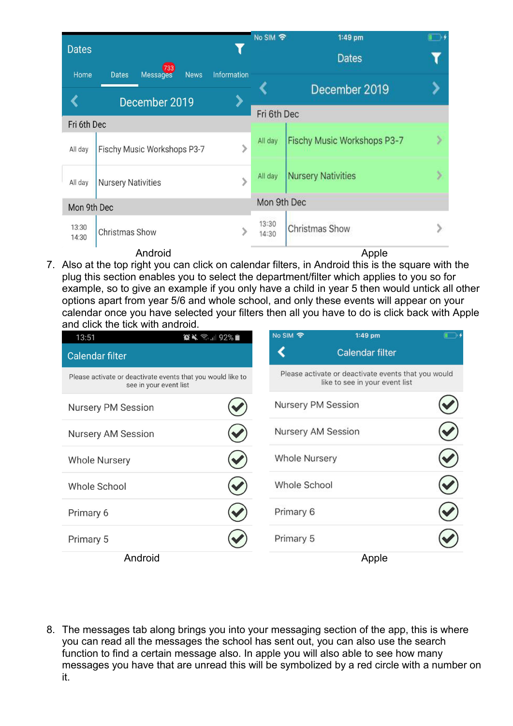| <b>Dates</b>   |                                                       |               | No SIM 今                             | 1:49 pm                     |  |
|----------------|-------------------------------------------------------|---------------|--------------------------------------|-----------------------------|--|
| Home           | 733<br><b>Dates</b><br><b>Messages</b><br><b>News</b> | Information   |                                      | <b>Dates</b>                |  |
|                | December 2019                                         |               |                                      | December 2019               |  |
|                |                                                       |               | Fri 6th Dec                          |                             |  |
| Fri 6th Dec    |                                                       |               |                                      |                             |  |
| All day        | Fischy Music Workshops P3-7                           | $\mathcal{P}$ | All day                              | Fischy Music Workshops P3-7 |  |
| All day        | <b>Nursery Nativities</b>                             | ⋟             | <b>Nursery Nativities</b><br>All day |                             |  |
| Mon 9th Dec    |                                                       |               | Mon 9th Dec                          |                             |  |
| 13:30<br>14:30 | <b>Christmas Show</b>                                 |               | 13:30<br>14:30                       | Christmas Show              |  |
|                | Android                                               |               |                                      | Apple                       |  |

7. Also at the top right you can click on calendar filters, in Android this is the square with the plug this section enables you to select the department/filter which applies to you so for example, so to give an example if you only have a child in year 5 then would untick all other options apart from year 5/6 and whole school, and only these events will appear on your calendar once you have selected your filters then all you have to do is click back with Apple and click the tick with android.

| 13:51                     | $\bullet\$ $\approx$ 1192%                                                            | No SIM 令           | $1:49$ pm                                                                             |  |
|---------------------------|---------------------------------------------------------------------------------------|--------------------|---------------------------------------------------------------------------------------|--|
| <b>Calendar filter</b>    |                                                                                       |                    | Calendar filter                                                                       |  |
|                           | Please activate or deactivate events that you would like to<br>see in your event list |                    | Please activate or deactivate events that you would<br>like to see in your event list |  |
| <b>Nursery PM Session</b> |                                                                                       | Nursery PM Session |                                                                                       |  |
| Nursery AM Session        |                                                                                       | Nursery AM Session |                                                                                       |  |
| <b>Whole Nursery</b>      |                                                                                       | Whole Nursery      |                                                                                       |  |
| Whole School              |                                                                                       | Whole School       |                                                                                       |  |
| Primary 6                 |                                                                                       | Primary 6          |                                                                                       |  |
| Primary 5                 |                                                                                       | Primary 5          |                                                                                       |  |
| Android                   |                                                                                       |                    | Apple                                                                                 |  |

8. The messages tab along brings you into your messaging section of the app, this is where you can read all the messages the school has sent out, you can also use the search function to find a certain message also. In apple you will also able to see how many messages you have that are unread this will be symbolized by a red circle with a number on it.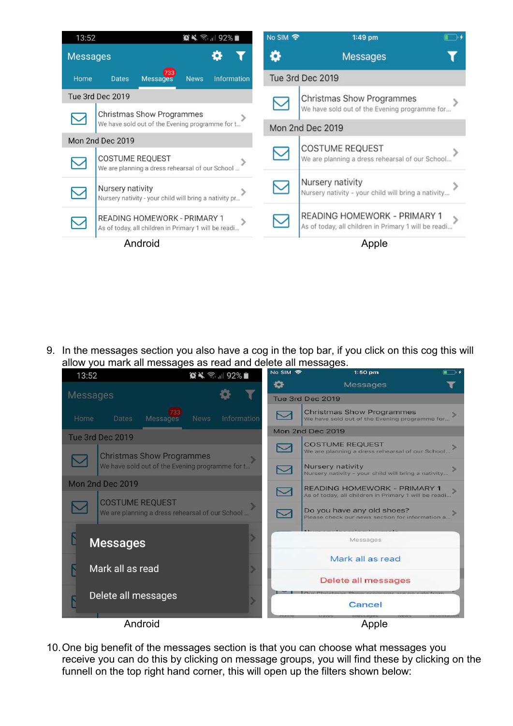| 13:52           |                        |                                                                                      |             | $\bigcirc$ $\leq$ $\frac{1}{2}$ 92% | <b>No SIM 今</b> | $1:49$ pm                                                                            |  |
|-----------------|------------------------|--------------------------------------------------------------------------------------|-------------|-------------------------------------|-----------------|--------------------------------------------------------------------------------------|--|
| <b>Messages</b> |                        |                                                                                      |             |                                     |                 | <b>Messages</b>                                                                      |  |
| Home            | <b>Dates</b>           | 733<br>Messages                                                                      | <b>News</b> | <b>Information</b>                  |                 | Tue 3rd Dec 2019                                                                     |  |
|                 | Tue 3rd Dec 2019       |                                                                                      |             |                                     |                 | Christmas Show Programmes                                                            |  |
|                 |                        | <b>Christmas Show Programmes</b><br>We have sold out of the Evening programme for t  |             |                                     |                 | We have sold out of the Evening programme for<br>Mon 2nd Dec 2019                    |  |
|                 | Mon 2nd Dec 2019       |                                                                                      |             |                                     |                 |                                                                                      |  |
|                 | <b>COSTUME REQUEST</b> | We are planning a dress rehearsal of our School                                      |             |                                     |                 | <b>COSTUME REQUEST</b><br>We are planning a dress rehearsal of our School            |  |
|                 | Nursery nativity       | Nursery nativity - your child will bring a nativity pr                               |             |                                     |                 | Nursery nativity<br>Nursery nativity - your child will bring a nativity              |  |
|                 |                        | READING HOMEWORK - PRIMARY 1<br>As of today, all children in Primary 1 will be readi |             |                                     |                 | READING HOMEWORK - PRIMARY 1<br>As of today, all children in Primary 1 will be readi |  |
|                 |                        | Android                                                                              |             |                                     |                 | Apple                                                                                |  |

9. In the messages section you also have a cog in the top bar, if you click on this cog this will allow you mark all messages as read and delete all messages.



10. One big benefit of the messages section is that you can choose what messages you receive you can do this by clicking on message groups, you will find these by clicking on the funnell on the top right hand corner, this will open up the filters shown below: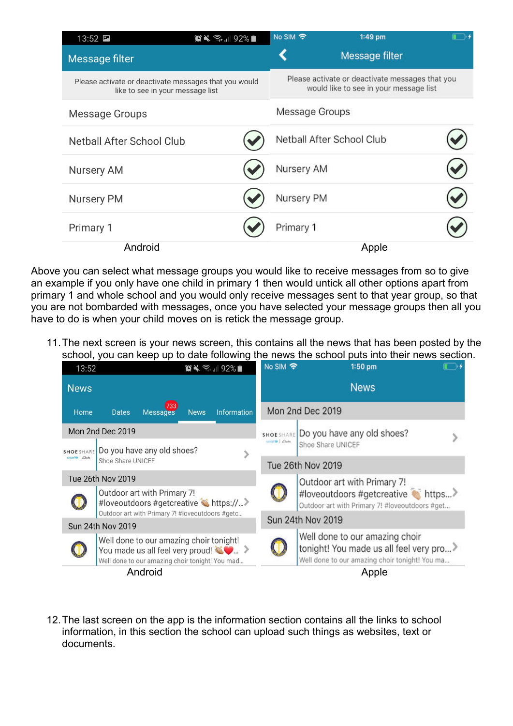| $13:52$ $\Box$                   |                                                                                           | No SIM 今       | $1:49$ pm                                                                                 |  |
|----------------------------------|-------------------------------------------------------------------------------------------|----------------|-------------------------------------------------------------------------------------------|--|
| Message filter                   |                                                                                           |                | Message filter                                                                            |  |
|                                  | Please activate or deactivate messages that you would<br>like to see in your message list |                | Please activate or deactivate messages that you<br>would like to see in your message list |  |
| Message Groups                   |                                                                                           | Message Groups |                                                                                           |  |
| <b>Netball After School Club</b> |                                                                                           |                | Netball After School Club                                                                 |  |
| <b>Nursery AM</b>                |                                                                                           | Nursery AM     |                                                                                           |  |
| <b>Nursery PM</b>                |                                                                                           | Nursery PM     |                                                                                           |  |
| Primary 1                        |                                                                                           | Primary 1      |                                                                                           |  |
| Android                          |                                                                                           |                | Apple                                                                                     |  |

Above you can select what message groups you would like to receive messages from so to give an example if you only have one child in primary 1 then would untick all other options apart from primary 1 and whole school and you would only receive messages sent to that year group, so that you are not bombarded with messages, once you have selected your message groups then all you have to do is when your child moves on is retick the message group.

11. The next screen is your news screen, this contains all the news that has been posted by the school, you can keep up to date following the news the school puts into their news section.

| 13:52                                                                                                                   |                          |                                                                                                                                                          |                   | $\bigcirc$ $\bigcirc$ $\bigcirc$ $\bigcirc$ 11 92%                                  | <b>No SIM 令</b>                         |                  | 1:50 pm                                                                                    |  |
|-------------------------------------------------------------------------------------------------------------------------|--------------------------|----------------------------------------------------------------------------------------------------------------------------------------------------------|-------------------|-------------------------------------------------------------------------------------|-----------------------------------------|------------------|--------------------------------------------------------------------------------------------|--|
| <b>News</b>                                                                                                             |                          |                                                                                                                                                          |                   |                                                                                     |                                         |                  | <b>News</b>                                                                                |  |
| Home                                                                                                                    | <b>Dates</b>             | 733<br><b>Messages</b>                                                                                                                                   | <b>News</b>       | Information                                                                         |                                         | Mon 2nd Dec 2019 |                                                                                            |  |
|                                                                                                                         | Mon 2nd Dec 2019         |                                                                                                                                                          |                   |                                                                                     | <b>SHOE SHARE</b>                       |                  | Do you have any old shoes?                                                                 |  |
| <b>SHOE SHARE</b>                                                                                                       |                          | Do you have any old shoes?                                                                                                                               |                   |                                                                                     | unicol Girl Clarks<br>Shoe Share UNICEF |                  |                                                                                            |  |
| unicefte   Clasks<br>Shoe Share UNICEF                                                                                  |                          |                                                                                                                                                          | Tue 26th Nov 2019 |                                                                                     |                                         |                  |                                                                                            |  |
|                                                                                                                         | <b>Tue 26th Nov 2019</b> |                                                                                                                                                          |                   |                                                                                     |                                         |                  | Outdoor art with Primary 7!                                                                |  |
| Outdoor art with Primary 7!<br>#loveoutdoors #getcreative thttps://><br>Outdoor art with Primary 7! #loveoutdoors #getc |                          |                                                                                                                                                          |                   | #loveoutdoors #getcreative thttps<br>Outdoor art with Primary 7! #loveoutdoors #get |                                         |                  |                                                                                            |  |
|                                                                                                                         | Sun 24th Nov 2019        |                                                                                                                                                          |                   |                                                                                     | Sun 24th Nov 2019                       |                  |                                                                                            |  |
|                                                                                                                         |                          |                                                                                                                                                          |                   |                                                                                     |                                         |                  | Well done to our amazing choir                                                             |  |
|                                                                                                                         |                          | Well done to our amazing choir tonight!<br>You made us all feel very proud! $\langle \bullet \rangle$<br>Well done to our amazing choir tonight! You mad |                   |                                                                                     |                                         |                  | tonight! You made us all feel very pro ><br>Well done to our amazing choir tonight! You ma |  |
|                                                                                                                         |                          | Android                                                                                                                                                  |                   |                                                                                     |                                         |                  | Apple                                                                                      |  |

12. The last screen on the app is the information section contains all the links to school information, in this section the school can upload such things as websites, text or documents.